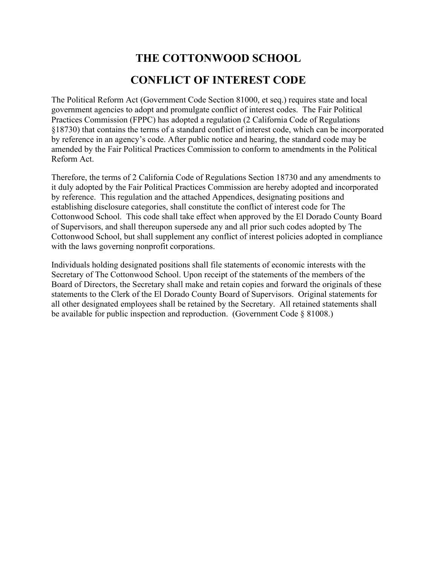# **THE COTTONWOOD SCHOOL CONFLICT OF INTEREST CODE**

The Political Reform Act (Government Code Section 81000, et seq.) requires state and local government agencies to adopt and promulgate conflict of interest codes. The Fair Political Practices Commission (FPPC) has adopted a regulation (2 California Code of Regulations §18730) that contains the terms of a standard conflict of interest code, which can be incorporated by reference in an agency's code. After public notice and hearing, the standard code may be amended by the Fair Political Practices Commission to conform to amendments in the Political Reform Act.

Therefore, the terms of 2 California Code of Regulations Section 18730 and any amendments to it duly adopted by the Fair Political Practices Commission are hereby adopted and incorporated by reference. This regulation and the attached Appendices, designating positions and establishing disclosure categories, shall constitute the conflict of interest code for The Cottonwood School. This code shall take effect when approved by the El Dorado County Board of Supervisors, and shall thereupon supersede any and all prior such codes adopted by The Cottonwood School, but shall supplement any conflict of interest policies adopted in compliance with the laws governing nonprofit corporations.

Individuals holding designated positions shall file statements of economic interests with the Secretary of The Cottonwood School. Upon receipt of the statements of the members of the Board of Directors, the Secretary shall make and retain copies and forward the originals of these statements to the Clerk of the El Dorado County Board of Supervisors. Original statements for all other designated employees shall be retained by the Secretary. All retained statements shall be available for public inspection and reproduction. (Government Code § 81008.)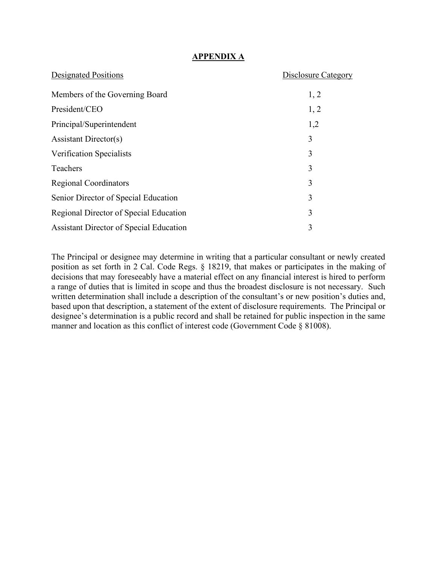## **APPENDIX A**

| <b>Designated Positions</b>                    | Disclosure Category |
|------------------------------------------------|---------------------|
| Members of the Governing Board                 | 1, 2                |
| President/CEO                                  | 1, 2                |
| Principal/Superintendent                       | 1,2                 |
| Assistant Director(s)                          | 3                   |
| Verification Specialists                       | 3                   |
| Teachers                                       | 3                   |
| <b>Regional Coordinators</b>                   | 3                   |
| Senior Director of Special Education           | 3                   |
| Regional Director of Special Education         | 3                   |
| <b>Assistant Director of Special Education</b> | 3                   |

The Principal or designee may determine in writing that a particular consultant or newly created position as set forth in 2 Cal. Code Regs. § 18219, that makes or participates in the making of decisions that may foreseeably have a material effect on any financial interest is hired to perform a range of duties that is limited in scope and thus the broadest disclosure is not necessary. Such written determination shall include a description of the consultant's or new position's duties and, based upon that description, a statement of the extent of disclosure requirements. The Principal or designee's determination is a public record and shall be retained for public inspection in the same manner and location as this conflict of interest code (Government Code § 81008).